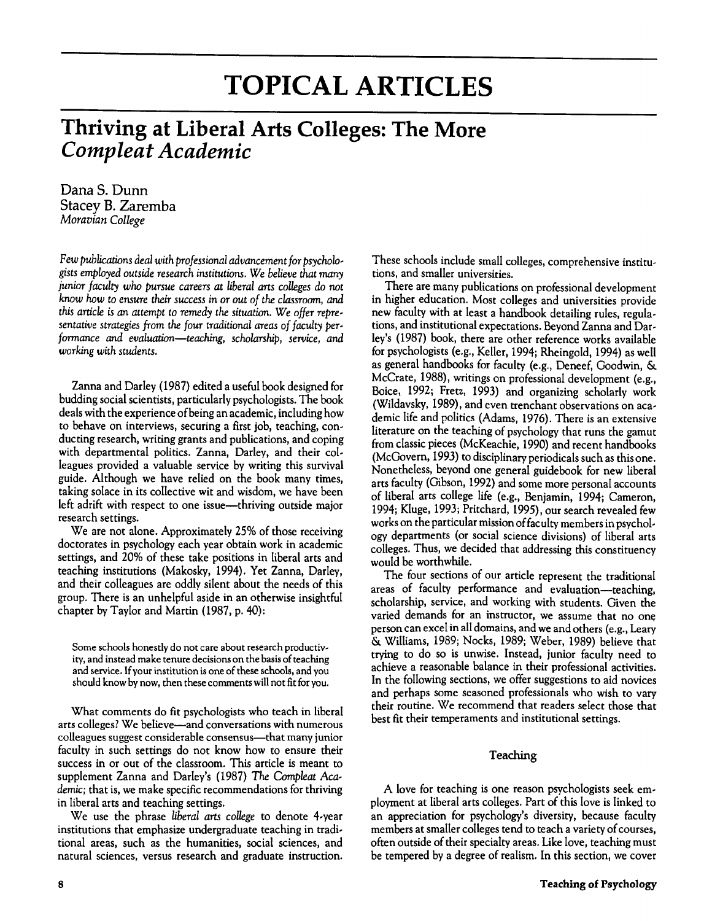# **TOPICAL ARTICLES**

# **Thriving at Liberal Arts Colleges: The More** *Compleat Academic*

DanaS. Dunn Stacey B. Zaremba *Moravian College*

Few publications deal with professional advancement for psycholo*gists employed outside research institutions.* We *believe that many junior faculty* who *pursue careers at liberal arts colleges* do not *know* how to *ensure their success in* or *out of the classroom, and this article isan attempt* to *remedy the situation.* We *offer representative strategies from the four traditional areas of faculty performance and evaluation-teaching, scholarship, service, and working with students*.

Zanna and Darley (1987) edited a useful book designed for budding social scientists, particularly psychologists.The book deals with the experience of being an academic, including how to behave on interviews, securing a first job, teaching, conducting research, writing grants and publications, and coping with departmental politics. Zanna, Darley, and their colleagues provided a valuable service by writing this survival guide. Although we have relied on the book many times, taking solace in its collective wit and wisdom, we have been left adrift with respect to one issue—thriving outside major research settings.

We are not alone. Approximately 25% of those receiving doctorates in psychology each year obtain work in academic settings, and 20% of these take positions in liberal arts and teaching institutions (Makosky, 1994). Yet Zanna, Darley, and their colleagues are oddly silent about the needs of this group. There is an unhelpful aside in an otherwise insightful chapter by Taylor and Martin (1987, p. 40):

Some schools honestly do not care about research productivity, and instead make tenure decisions on the basis of teaching and service. If your institution is one of these schools, and you should know by now, then these comments will not fit for you.

What comments do fit psychologists who teach in liberal arts colleges? We believe-and conversations with numerous colleagues suggest considerable consensus—that many junior faculty in such settings do not know how to ensure their success in or out of the classroom. This article is meant to supplement Zanna and Darley's (1987) *The Compleat Academic;* that is, we make specific recommendations for thriving in liberal arts and teaching settings.

We use the phrase *liberal arts college* to denote 4-year institutions that emphasize undergraduate teaching in traditional areas, such as the humanities, social sciences, and natural sciences, versus research and graduate instruction.

These schools include small colleges, comprehensive institutions, and smaller universities.

There are many publications on professional development in higher education. Most colleges and universities provide new faculty with at least a handbook detailing rules, regulations, and institutional expectations. Beyond Zanna and Darley's (1987) book, there are other reference works available for psychologists (e.g., Keller, 1994; Rheingold, 1994) as well as general handbooks for faculty (e.g., Deneef, Goodwin, & McCrate, 1988), writings on professional development (e.g., Boice, 1992; Fretz, 1993) and organizing scholarly work (Wildavsky, 1989), and even trenchant observations on academic life and politics (Adams, 1976). There is an extensive literature on the teaching of psychology that runs the gamut from classic pieces (McKeachie, 1990) and recent handbooks (McGovern, 1993) to disciplinary periodicals such as this one. Nonetheless, beyond one general guidebook for new liberal arts faculty (Gibson, 1992) and some more personal accounts of liberal arts college life (e.g., Benjamin, 1994; Cameron, 1994; Kluge, 1993; Pritchard, 1995), our search revealed few works on the particular mission of faculty members in psychology departments (or social science divisions) of liberal arts colleges. Thus, we decided that addressing this constituency would be worthwhile.

The four sections of our article represent the traditional areas of faculty performance and evaluation-teaching, scholarship, service, and working with students. Given the varied demands for an instructor, we assume that no one person can excel in all domains, and we and others (e.g., Leary & Williams, 1989; Nocks, 1989; Weber, 1989) believe that trying to do so is unwise. Instead, junior faculty need to achieve a reasonable balance in their professional activities. In the following sections, we offer suggestions to aid novices and perhaps some seasoned professionals who wish to vary their routine. We recommend that readers select those that best fit their temperaments and institutional settings.

# Teaching

A love for teaching is one reason psychologists seek employment at liberal arts colleges. Part of this love is linked to an appreciation for psychology's diversity, because faculty members at smaller colleges tend to teach a variety of courses, often outside of their specialty areas. Like love, teaching must be tempered by a degree of realism. In this section, we cover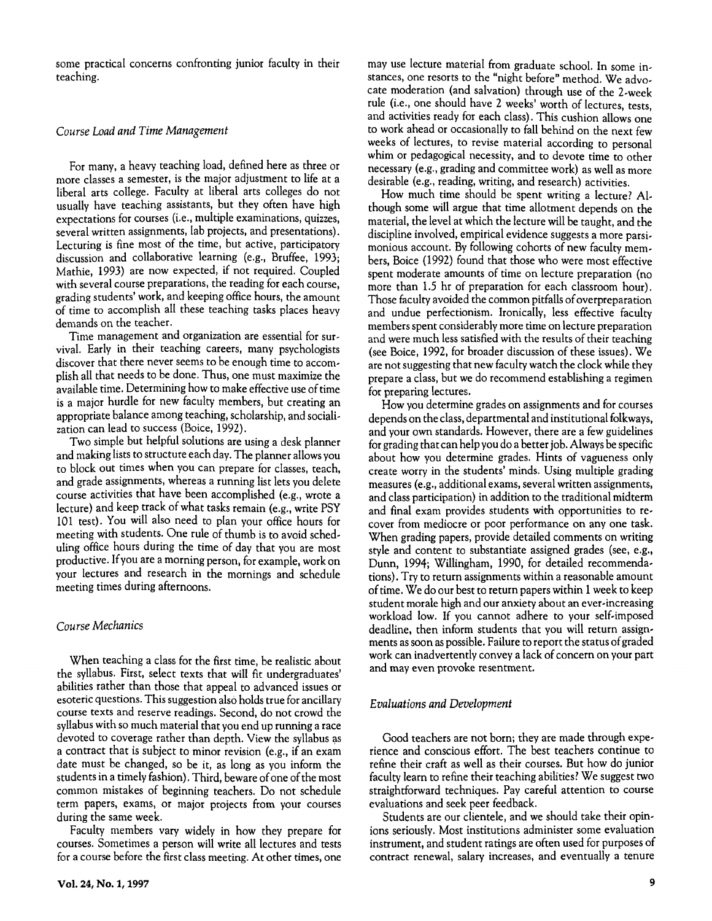some practical concerns confronting junior faculty in their teaching.

#### *Course Load andTime Management*

For many, a heavy teaching load, defined here as three or more classes a semester, is the major adjustment to life at a liberal arts college. Faculty at liberal arts colleges do not usually have teaching assistants, but they often have high expectations for courses (i.e., multiple examinations, quizzes, several written assignments, lab projects, and presentations). Lecturing is fine most of the time, but active, participatory discussion and collaborative learning (e.g., Bruffee, 1993; Mathie, 1993) are now expected, if not required. Coupled with several course preparations, the reading for each course, grading students' work, and keeping office hours, the amount of time to accomplish all these teaching tasks places heavy demands on the teacher.

Time management and organization are essential for survival. Early in their teaching careers, many psychologists discover that there never seems to be enough time to accomplish all that needs to be done. Thus, one must maximize the available time. Determining how to make effective use of time is a major hurdle for new faculty members, but creating an appropriate balance among teaching, scholarship, and socialization can lead to success (Boice, 1992).

Two simple but helpful solutions are using a desk planner and making lists to structure each day. The planner allowsyou to block out times when you can prepare for classes, teach, and grade assignments, whereas a running list lets you delete course activities that have been accomplished (e.g., wrote a lecture) and keep track of what tasks remain (e.g., write PSY 101 test). You will also need to plan your office hours for meeting with students. One rule of thumb is to avoid scheduling office hours during the time of day that you are most productive. Ifyou are a morning person, for example, work on your lectures and research in the mornings and schedule meeting times during afternoons.

#### *Course Mechanics*

When teaching a class for the first time, be realistic about the syllabus. First, select texts that will fit undergraduates' abilities rather than those that appeal to advanced issues or esoteric questions. This suggestion also holds true for ancillary course texts and reserve readings. Second, do not crowd the syllabus with so much material that you end up running a race devoted to coverage rather than depth. View the syllabus as a contract that is subject to minor revision (e.g., if an exam date must be changed, so be it, as long as you inform the students in a timely fashion). Third, beware of one of the most common mistakes of beginning teachers. Do not schedule term papers, exams, or major projects from your courses during the same week.

Faculty members vary widely in how they prepare for courses. Sometimes a person will write all lectures and tests for a course before the first class meeting. At other times, one

may use lecture material from graduate school. In some instances, one resorts to the "night before" method. We advocate moderation (and salvation) through use of the 2-week rule (i.e., one should have 2 weeks' worth of lectures, tests, and activities ready for each class). This cushion allows one to work ahead or occasionally to fall behind on the next few weeks of lectures, to revise material according to personal whim or pedagogical necessity, and to devote time to other necessary (e.g., grading and committee work) as well as more desirable (e.g., reading, writing, and research) activities.

How much time should be spent writing a lecture? Although some will argue that time allotment depends on the material, the level at which the lecture will be taught, and the discipline involved, empirical evidence suggests a more parsimonious account. By following cohorts of new faculty members, Boice (1992) found that those who were most effective spent moderate amounts of time on lecture preparation (no more than 1.5 hr of preparation for each classroom hour). Those faculty avoided the common pitfalls of overpreparation and undue perfectionism. Ironically, less effective faculty members spent considerably more time on lecture preparation and were much less satisfied with the results of their teaching (see Boice, 1992, for broader discussion of these issues). We are not suggesting that new faculty watch the clock while they prepare a class, but we do recommend establishing a regimen for preparing lectures.

How you determine grades on assignments and for courses depends on the class, departmental and institutional folkways, and your own standards. However, there are a few guidelines for grading that can help you do a better job. Always be specific about how you determine grades. Hints of vagueness only create worry in the students' minds. Using multiple grading measures (e.g., additional exams, several written assignments, and class participation) in addition to the traditional midterm and final exam provides students with opportunities to recover from mediocre or poor performance on anyone task. When grading papers, provide detailed comments on writing style and content to substantiate assigned grades (see, e.g., Dunn, 1994; Willingham, 1990, for detailed recommendations). Try to return assignments within a reasonable amount of time. We do our best to return papers within 1 week to keep student morale high and our anxiety about an ever-increasing workload low. If you cannot adhere to your self-imposed deadline, then inform students that you will return assignments as soon as possible. Failure to report the status of graded work can inadvertently convey a lack of concern on your part and may even provoke resentment.

#### *Evaluations andDevelopment*

Good teachers are not born; they are made through experience and conscious effort. The best teachers continue to refine their craft as well as their courses. But how do junior faculty learn to refine their teaching abilities? We suggest two straightforward techniques. Pay careful attention to course evaluations and seek peer feedback.

Students are our clientele, and we should take their opinions seriously. Most institutions administer some evaluation instrument, and student ratings are often used for purposes of contract renewal, salary increases, and eventually a tenure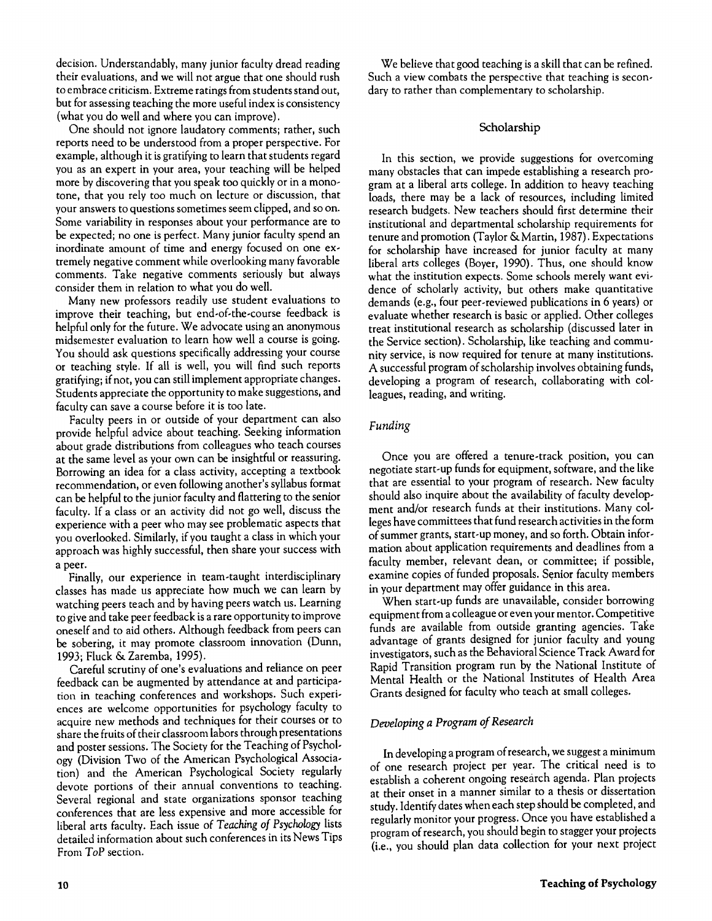decision. Understandably, many junior faculty dread reading their evaluations, and we will not argue that one should rush to embrace criticism. Extreme ratings fromstudentsstand out, but for assessing teaching the more useful index is consistency (what you do well and where you can improve).

One should not ignore laudatory comments; rather, such reports need to be understood from a proper perspective. For example, although it is gratifying to learn that students regard you as an expert in your area, your teaching will be helped more by discovering that you speak too quickly or in a monotone, that you rely too much on lecture or discussion, that your answers to questions sometimes seem clipped, and so on. Some variability in responses about your performance are to be expected: no one is perfect. Many junior faculty spend an inordinate amount of time and energy focused on one extremely negative comment while overlooking many favorable comments. Take negative comments seriously but always consider them in relation to what you do well.

Many new professors readily use student evaluations to improve their teaching, but end-of-the-course feedback is helpful only for the future. We advocate using an anonymous midsernester evaluation to learn how well a course is going. You should ask questions specifically addressing your course or teaching style. If all is well, you will find such reports gratifying;if not, you can still implement appropriate changes. Students appreciate the opportunity to make suggestions, and faculty can save a course before it is too late.

Faculty peers in or outside of your department can also provide helpful advice about teaching. Seeking information about grade distributions from colleagues who teach courses at the same level as your own can be insightful or reassuring. Borrowing an idea for a class activity, accepting a textbook recommendation, or even following another's syllabus format can be helpful to the junior faculty and flattering to the senior faculty. If a class or an activity did not go well, discuss the experience with a peer who may see problematic aspects that you overlooked. Similarly, if you taught a class in which your approach was highly successful, then share your success with a peer.

Finally, our experience in team-taught interdisciplinary classes has made us appreciate how much we can learn by watching peers teach and by having peers watch us. Learning to give and take peer feedback is a rare opportunity to improve oneself and to aid others. Although feedback from peers can be sobering, it may promote classroom innovation (Dunn, 1993; Fluck & Zaremba, 1995).

Careful scrutiny of one's evaluations and reliance on peer feedback can be augmented by attendance at and participation in teaching conferences and workshops. Such experiences are welcome opportunities for psychology faculty to acquire new methods and techniques for their courses or to share the fruits of their classroom labors through presentations and poster sessions. The Society for the Teaching of Psychology (Division Two of the American Psychological Association) and the American Psychological Society regularly devote portions of their annual conventions to teaching. Several regional and state organizations sponsor teaching conferences that are less expensive and more accessible for liberal arts faculty. Each issue of *Teaching of Psychology* lists detailed information about such conferences in its News Tips From *ToP* section.

**10**

We believe that good teaching is a skill that can be refined. Such a view combats the perspective that teaching is secondary to rather than complementary to scholarship.

# Scholarship

In this section, we provide suggestions for overcoming many obstacles that can impede establishing a research program at a liberal arts college. In addition to heavy teaching loads, there may be a lack of resources, including limited research budgets. New teachers should first determine their institutional and departmental scholarship requirements for tenure and promotion (Taylor & Martin, 1987). Expectations for scholarship have increased for junior faculty at many liberal arts colleges (Boyer, 1990). Thus, one should know what the institution expects. Some schools merely want evidence of scholarly activity, but others make quantitative demands (e.g., four peer-reviewed publications in 6 years) or evaluate whether research is basic or applied. Other colleges treat institutional research as scholarship (discussed later in the Service section). Scholarship, like teaching and community service, is now required for tenure at many institutions. A successful program of scholarship involves obtaining funds, developing a program of research, collaborating with colleagues, reading, and writing.

# *Funding*

Once you are offered a tenure-track position, you can negotiate start-up funds for equipment, software, and the like that are essential to your program of research. New faculty should also inquire about the availability of faculty development and/or research funds at their institutions. Many colleges have committees that fund research activities in the form of summer grants, start-up money, and so forth. Obtain information about application requirements and deadlines from a faculty member, relevant dean, or committee; if possible, examine copies of funded proposals. Senior faculty members in your department may offer guidance in this area.

When start-up funds are unavailable, consider borrowing equipment from a colleague or even your mentor. Competitive funds are available from outside granting agencies. Take advantage of grants designed for junior faculty and young investigators, such as the Behavioral Science Track Award for Rapid Transition program run by the National Institute of Mental Health or the National Institutes of Health Area Grants designed for faculty who teach at small colleges.

# *Developing a Program ofResearch*

In developing a program of research, we suggest a minimum of one research project per year. The critical need is to establish a coherent ongoing research agenda. Plan projects at their onset in a manner similar to a thesis or dissertation study. Identify dates when each step should be completed, and regularly monitor your progress. Once you have established a program of research, you should begin to stagger your projects (i.e., you should plan data collection for your next project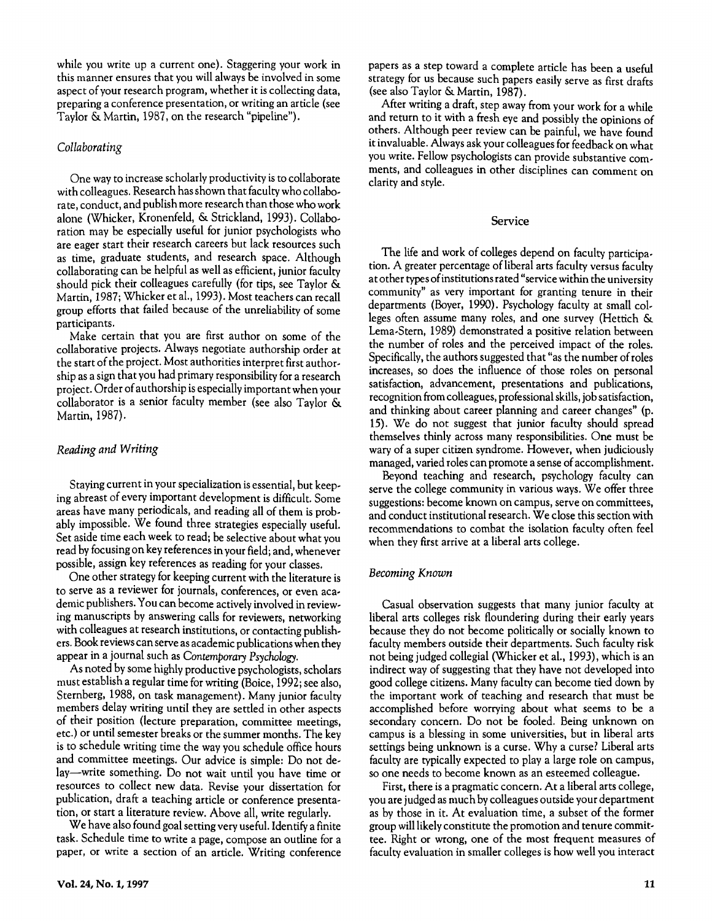while you write up a current one). Staggering your work in this manner ensures that you will always be involved in some aspect of your research program, whether it is collecting data, preparing a conference presentation, or writing an article (see Taylor & Martin, 1987, on the research "pipeline").

#### *Collaborating*

One way to increase scholarly productivity is to collaborate with colleagues. Research has shown that faculty who collaborate, conduct, and publish more research than those who work alone (Whicker, Kronenfeld, & Strickland, 1993). Collaboration may be especially useful for junior psychologists who are eager start their research careers but lack resources such as time, graduate students, and research space. Although collaborating can be helpful as well as efficient, junior faculty should pick their colleagues carefully (for tips, see Taylor & Martin, 1987; Whicker et al., 1993). Most teachers can recall group efforts that failed because of the unreliability of some participants.

Make certain that you are first author on some of the collaborative projects. Always negotiate authorship order at the start of the project. Most authorities interpret first authorship as a sign that you had primary responsibility for a research project. Order of authorship isespeciallyimportant when your collaborator is a senior faculty member (see also Taylor & Martin, 1987).

# *Reading andWriting*

Staying current in your specialization is essential, but keeping abreast of every important development is difficult. Some areas have many periodicals, and reading all of them is probably impossible. We found three strategies especially useful. Set aside time each week to read; be selective about what you read by focusing on key references in your field; and, whenever possible, assign key references as reading for your classes.

One other strategy for keeping current with the literature is to serve as a reviewer for journals, conferences, or even academic publishers. You can become actively involved in reviewing manuscripts by answering calls for reviewers, networking with colleagues at research institutions, or contacting publishers. Book reviewscan serve as academic publications when they appear in a journal such as *Contemporary Psychology.*

As noted by some highly productive psychologists, scholars must establish a regular time for writing (Boice, 1992; see also, Sternberg, 1988, on task management). Many junior faculty members delay writing until they are settled in other aspects of their position (lecture preparation, committee meetings, erc.) or until semester breaks or the summer months. The key is to schedule writing time the way you schedule office hours and committee meetings. Our advice is simple: Do not delay-write something. Do not wait until you have time or resources to collect new data. Revise your dissertation for publication, draft a teaching article or conference presentation, or start a literature review. Above all, write regularly.

We have also found goal setting very useful. Identify a finite task. Schedule time to write a page, compose an outline for a paper, or write a section of an article. Writing conference papers as a step toward a complete article has been a useful strategy for us because such papers easily serve as first drafts (see also Taylor & Martin, 1987).

After writing a draft, step away from your work for a while and return to it with a fresh eye and possibly the opinions of others. Although peer review can be painful, we have found it invaluable. Always ask your colleagues for feedback on what you write. Fellow psychologists can provide substantive comments, and colleagues in other disciplines can comment on clarity and style.

#### Service

The life and work of colleges depend on faculty participation. A greater percentage of liberal arts faculty versus faculty at other types of institutions rated "service within the university community" as very important for granting tenure in their departments (Boyer, 1990). Psychology faculty at small colleges often assume many roles, and one survey (Hettich & Lema-Stern, 1989) demonstrated a positive relation between the number of roles and the perceived impact of the roles. Specifically, the authors suggested that "as the number of roles increases, so does the influence of those roles on personal satisfaction, advancement, presentations and publications, recognition from colleagues, professional skills, job satisfaction, and thinking about career planning and career changes" (p. 15). We do not suggest that junior faculty should spread themselves thinly across many responsibilities. One must be wary of a super citizen syndrome. However, when judiciously managed, varied roles can promote a sense of accomplishment.

Beyond teaching and research, psychology faculty can serve the college community in various ways. We offer three suggestions: become known on campus, serve on committees, and conduct institutional research. We close this section with recommendations to combat the isolation faculty often feel when they first arrive at a liberal arts college.

#### *Becoming Known*

Casual observation suggests that many junior faculty at liberal arts colleges risk floundering during their early years because they do not become politically or socially known to faculty members outside their departments. Such faculty risk not being judged collegial (Whicker et al., 1993), which is an indirect way of suggesting that they have not developed into good college citizens. Many faculty can become tied down by the important work of teaching and research that must be accomplished before worrying about what seems to be a secondary concern. Do not be fooled. Being unknown on campus is a blessing in some universities, but in liberal arts settings being unknown is a curse. Why a curse? Liberal arts faculty are typically expected to play a large role on campus, so one needs to become known as an esteemed colleague.

First, there is a pragmatic concern. At a liberal arts college, you are judged as much by colleagues outside your department as by those in it. At evaluation time, a subset of the former group willlikelyconstitute the promotion and tenure committee. Right or wrong, one of the most frequent measures of faculty evaluation in smaller colleges is how well you interact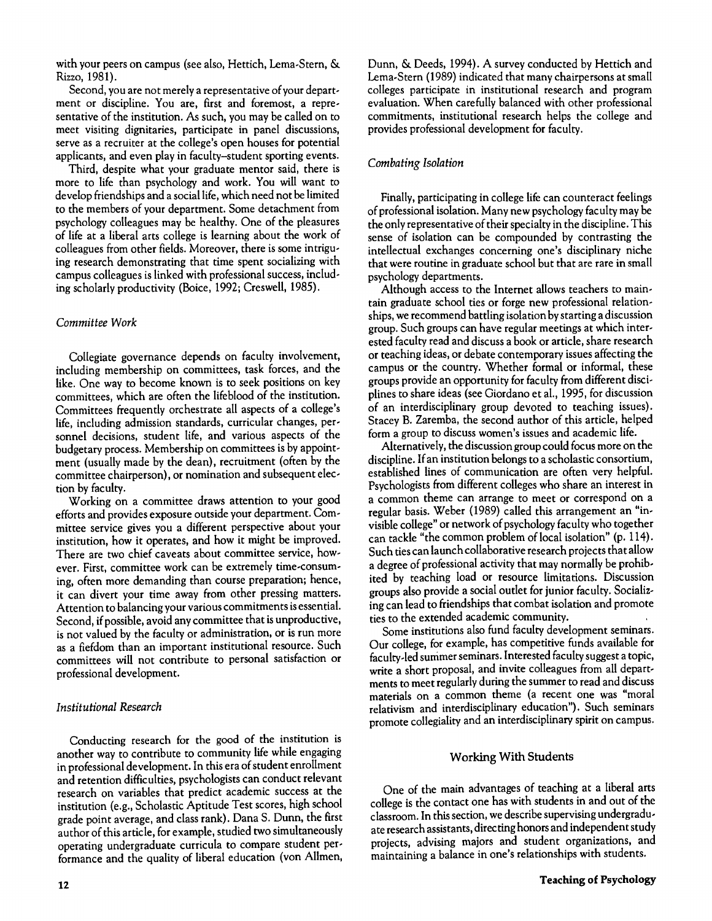with your peers on campus (see also, Hettich, Lema-Stern, & Rizzo, 1981).

Second, you are not merely a representative of your department or discipline. You are, first and foremost, a representative of the institution. As such, you may be called on to meet visiting dignitaries, participate in panel discussions, serve as a recruiter at the college's open houses for potential applicants, and even play in faculty-student sporting events.

Third, despite what your graduate mentor said, there is more to life than psychology and work. You will want to develop friendships and a social life,which need not be limited to the members of your department. Some detachment from psychology colleagues may be healthy. One of the pleasures of life at a liberal arts college is learning about the work of colleagues from other fields. Moreover, there is some intriguing research demonstrating that time spent socializing with campus colleagues is linked with professional success, including scholarly productivity (Boice, 1992; Creswell, 1985).

#### *Committee Work*

Collegiate governance depends on faculty involvement, including membership on committees, task forces, and the like. One way to become known is to seek positions on key committees, which are often the lifeblood of the institution. Committees frequently orchestrate all aspects of a college's life, including admission standards, curricular changes, personnel decisions, student life, and various aspects of the budgetary process. Membership on committees is by appointment (usually made by the dean), recruitment (often by the committee chairperson), or nomination and subsequent election by faculty.

Working on a committee draws attention to your good efforts and provides exposure outside your department. Committee service gives you a different perspective about your institution, how it operates, and how it might be improved. There are two chief caveats about committee service, however. First, committee work can be extremely time-consuming, often more demanding than course preparation; hence, it can divert your time away from other pressing matters. Attention to balancing your various commitments is essential. Second, if possible, avoid any committee that is unproductive, is not valued by the faculty or administration, or is run more as a fiefdom than an important institutional resource. Such committees will not contribute to personal satisfaction or professional development.

#### *Institutional Research*

Conducting research for the good of the institution is another way to contribute to community life while engaging in professional development. In this era of student enrollment and retention difficulties, psychologists can conduct relevant research on variables that predict academic success at the institution (e.g., Scholastic Aptitude Test scores, high school grade point average, and class rank). Dana S. Dunn, the first author of this article, for example, studied two simultaneously operating undergraduate curricula to compare student performance and the quality of liberal education (von Allmen,

Dunn, & Deeds, 1994). A survey conducted by Hettich and Lema-Stern (1989) indicated that many chairpersons at small colleges participate in institutional research and program evaluation. When carefully balanced with other professional commitments, institutional research helps the college and provides professional development for faculty.

# *Combating Isolation*

Finally, participating in college life can counteract feelings of professional isolation. Many new psychology faculty may be the only representative of their specialty in the discipline. This sense of isolation can be compounded by contrasting the intellectual exchanges concerning one's disciplinary niche that were routine in graduate school but that are rare in small psychology departments.

Although access to the Internet allows teachers to maintain graduate school ties or forge new professional relationships, we recommend battling isolation bystarting a discussion group. Such groups can have regular meetings at which interested faculty read and discuss a book or article, share research or teaching ideas, or debate contemporary issues affecting the campus or the country. Whether formal or informal, these groups provide an opportunity for faculty from different disciplines to share ideas (see Giordano et al., 1995, for discussion of an interdisciplinary group devoted to teaching issues). Stacey B. Zaremba, the second author of this article, helped form a group to discuss women's issues and academic life.

Alternatively, the discussion group could focus more on the discipline. If an institution belongs to a scholastic consortium, established lines of communication are often very helpful. Psychologists from different colleges who share an interest in a common theme can arrange to meet or correspond on a regular basis. Weber (1989) called this arrangement an "invisible college" or network of psychologyfaculty who together can tackle "the common problem of local isolation" (p. 114). Such ties can launch collaborative research projects that allow a degree of professional activity that may normally be prohibited by teaching load or resource limitations. Discussion groups also provide a social outlet for junior faculty. Socializing can lead to friendships that combat isolation and promote ties to the extended academic community. ,

Some institutions also fund faculty development seminars. Our college, for example, has competitive funds available for faculty-led summer seminars. Interested faculty suggest a topic, write a short proposal, and invite colleagues from all departments to meet regularly during the summer to read and discuss materials on a common theme (a recent one was "moral relativism and interdisciplinary education"). Such seminars promote collegiality and an interdisciplinary spirit on campus.

#### Working With Students

One of the main advantages of teaching at a liberal arts college is the contact one has with students in and out of the classroom. In this section, we describe supervising undergraduate research assistants, directing honors and independentstudy projects, advising majors and student organizations, and maintaining a balance in one's relationships with students.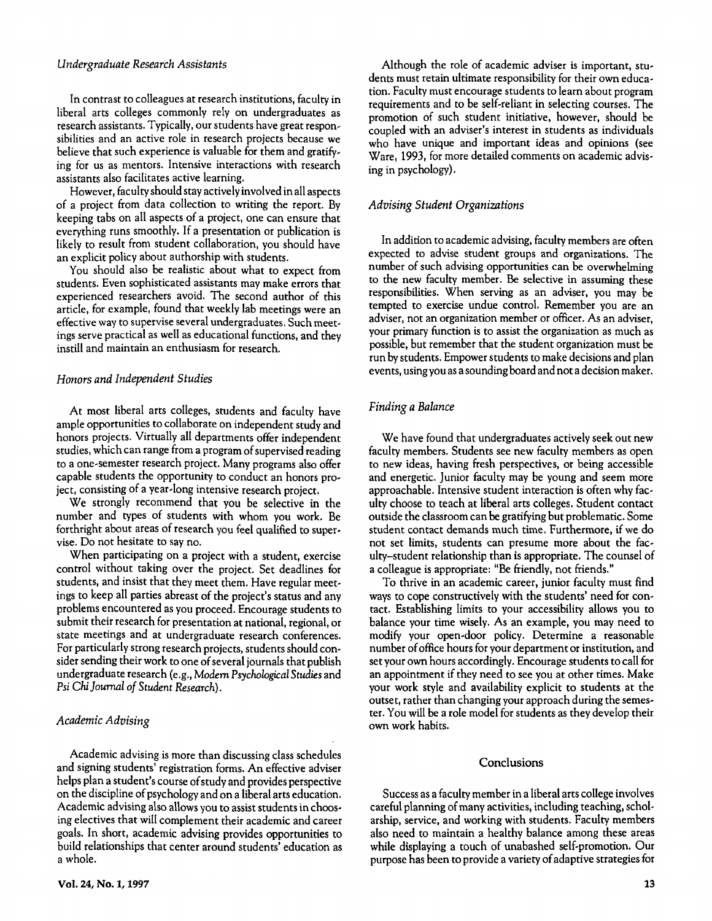#### *Undergraduate Research Assistants*

In contrast to colleagues at research institutions, faculty in liberal arts colleges commonly rely on undergraduates as research assistants. Typically, our students have great responsibilities and an active role in research projects because we believe that such experience is valuable for them and gratifying for us as mentors. Intensive interactions with research assistants also facilitates active learning.

However, faculty should stay actively involved in all aspects of a project from data collection to writing the report. By keeping tabs on all aspects of a project, one can ensure that everything runs smoothly. If a presentation or publication is likely to result from student collaboration, you should have an explicit policy about authorship with students.

You should also be realistic about what to expect from students. Even sophisticated assistants may make errors that experienced researchers avoid. The second author of this article, for example, found that weekly lab meetings were an effective way to supervise several undergraduates. Such meetings serve practical as well as educational functions, and they instill and maintain an enthusiasm for research.

# *Honors andIndependent Studies*

At most liberal arts colleges, students and faculty have ample opportunities to collaborate on independent study and honors projects. Virtually all departments offer independent studies, which can range from a program of supervised reading to a one-semester research project. Many programs also offer capable students the opportunity to conduct an honors project, consisting of a year-long intensive research project.

We strongly recommend that you be selective in the number and types of students with whom you work. Be forthright about areas of research you feel qualified to supervise. Do not hesitate to say no.

When participating on a project with a student, exercise control without taking over the project. Set deadlines for students, and insist that they meet them. Have regular meetings to keep all parties abreast of the project's status and any problems encountered as you proceed. Encourage students to submit their research for presentation at national, regional, or state meetings and at undergraduate research conferences. For particularly strong research projects, students should consider sending their work to one of several journals that publish undergraduate research (e.g.,*Modem Psychological Studies* and *Psi Chi]oumal of Student Research).*

#### *Academic Advising*

Academic advising is more than discussing class schedules and signing students' registration forms. An effective adviser helps plan a student's course of study and provides perspective on the discipline of psychology and on a liberal arts education. Academic advising also allows you to assist students in choosing electives that will complement their academic and career goals. In short, academic advising provides opportunities to build relationships that center around students' education as a whole.

Although the role of academic adviser is important, students must retain ultimate responsibility for their own education. Faculty must encourage students to learn about program requirements and to be self-reliant in selecting courses. The promotion of such student initiative, however, should be coupled with an adviser's interest in students as individuals who have unique and important ideas and opinions (see Ware, 1993, for more detailed comments on academic advising in psychology).

### *Advising Student Organizations*

In addition to academic advising, faculty members are often expected to advise student groups and organizations. The number of such advising opportunities can be overwhelming to the new faculty member. Be selective in assuming these responsibilities. When serving as an adviser, you may be tempted to exercise undue control. Remember you are an adviser, not an organization member or officer. As an adviser, your primary function is to assist the organization as much as possible, but remember that the student organization must be run by students. Empower students to make decisions and plan events, usingyou as a sounding board and not a decision maker.

#### *Finding a Balance*

We have found that undergraduates actively seek out new faculty members. Students see new faculty members as open to new ideas, having fresh perspectives, or being accessible and energetic. Junior faculty may be young and seem more approachable. Intensive student interaction is often why faculty choose to teach at liberal arts colleges. Student contact outside the classroom can be gratifying but problematic. Some student contact demands much time. Furthermore, if we do not set limits, students can presume more about the faculty-student relationship than is appropriate. The counsel of a colleague is appropriate: "Be friendly, not friends."

To thrive in an academic career, junior faculty must find ways to cope constructively with the students' need for contact. Establishing limits to your accessibility allows you to balance your time wisely. As an example, you may need to modify your open-door policy. Determine a reasonable number of office hours for your department or institution, and set your own hours accordingly. Encourage students to call for an appointment if they need to see you at other times. Make your work style and availability explicit to students at the outset, rather than changing your approach during the semester. You will be a role model for students as they develop their own work habits.

#### **Conclusions**

Success as a faculty member in a liberal arts college involves careful planning of many activities, including teaching, scholarship, service, and working with students. Faculty members also need to maintain a healthy balance among these areas while displaying a touch of unabashed self-promotion. Our purpose has been to provide a variety of adaptive strategies for